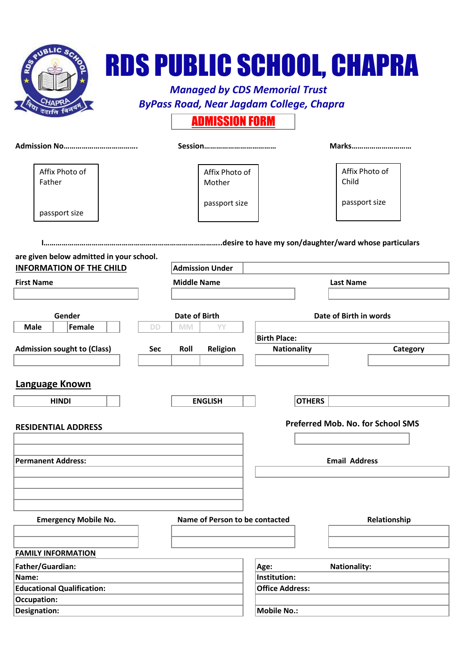| .ıc                                      |                           |                                | <b>Managed by CDS Memorial Trust</b><br><b>ByPass Road, Near Jagdam College, Chapra</b> | <b>RDS PUBLIC SCHOOL, CHAPRA</b>  |  |
|------------------------------------------|---------------------------|--------------------------------|-----------------------------------------------------------------------------------------|-----------------------------------|--|
|                                          |                           | <b>ADMISSION FORM</b>          |                                                                                         |                                   |  |
|                                          |                           |                                |                                                                                         | Marks                             |  |
| Affix Photo of<br>Father                 |                           | Affix Photo of<br>Mother       |                                                                                         | Affix Photo of<br>Child           |  |
| passport size                            |                           | passport size                  |                                                                                         | passport size                     |  |
|                                          |                           |                                |                                                                                         |                                   |  |
| are given below admitted in your school. |                           |                                |                                                                                         |                                   |  |
| <b>INFORMATION OF THE CHILD</b>          |                           | <b>Admission Under</b>         |                                                                                         |                                   |  |
| <b>First Name</b>                        |                           | <b>Middle Name</b>             |                                                                                         | <b>Last Name</b>                  |  |
|                                          |                           |                                |                                                                                         |                                   |  |
| Gender                                   |                           | <b>Date of Birth</b>           |                                                                                         | Date of Birth in words            |  |
| Female<br><b>Male</b>                    | DD<br><b>MM</b>           | YY                             |                                                                                         |                                   |  |
| <b>Admission sought to (Class)</b>       | <b>Roll</b><br><b>Sec</b> | Religion                       | <b>Birth Place:</b><br><b>Nationality</b>                                               |                                   |  |
|                                          |                           |                                |                                                                                         | Category                          |  |
| Language Known<br><b>HINDI</b>           |                           | <b>ENGLISH</b>                 | <b>OTHERS</b>                                                                           |                                   |  |
|                                          |                           |                                |                                                                                         | Preferred Mob. No. for School SMS |  |
| <b>RESIDENTIAL ADDRESS</b>               |                           |                                |                                                                                         |                                   |  |
|                                          |                           |                                |                                                                                         |                                   |  |
| <b>Permanent Address:</b>                |                           |                                |                                                                                         | <b>Email Address</b>              |  |
|                                          |                           |                                |                                                                                         |                                   |  |
|                                          |                           |                                |                                                                                         |                                   |  |
| <b>Emergency Mobile No.</b>              |                           | Name of Person to be contacted |                                                                                         | Relationship                      |  |
|                                          |                           |                                |                                                                                         |                                   |  |
|                                          |                           |                                |                                                                                         |                                   |  |
| <b>FAMILY INFORMATION</b>                |                           |                                |                                                                                         |                                   |  |
| Father/Guardian:                         |                           |                                | Age:                                                                                    | <b>Nationality:</b>               |  |
| Name:                                    |                           |                                | Institution:                                                                            |                                   |  |
| <b>Educational Qualification:</b>        |                           |                                | <b>Office Address:</b>                                                                  |                                   |  |
| <b>Occupation:</b>                       |                           |                                |                                                                                         |                                   |  |
| Designation:                             |                           |                                | <b>Mobile No.:</b>                                                                      |                                   |  |